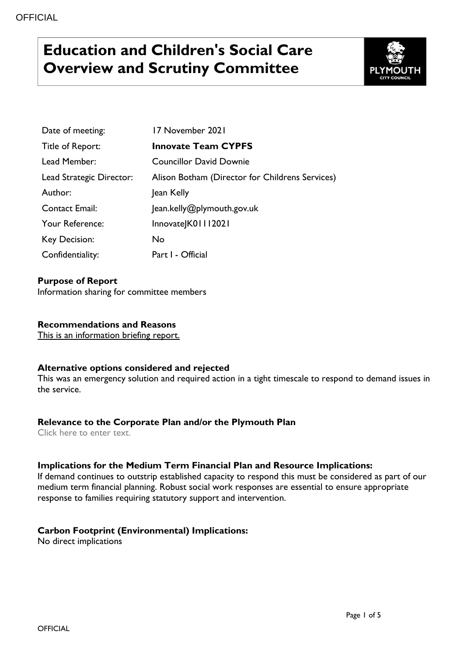# **Education and Children's Social Care Overview and Scrutiny Committee**



| Date of meeting:         | 17 November 2021                                |
|--------------------------|-------------------------------------------------|
| Title of Report:         | <b>Innovate Team CYPFS</b>                      |
| Lead Member:             | <b>Councillor David Downie</b>                  |
| Lead Strategic Director: | Alison Botham (Director for Childrens Services) |
| Author:                  | Jean Kelly                                      |
| <b>Contact Email:</b>    | Jean.kelly@plymouth.gov.uk                      |
| Your Reference:          | InnovateJK01112021                              |
| Key Decision:            | No.                                             |
| Confidentiality:         | Part I - Official                               |

#### **Purpose of Report**

Information sharing for committee members

#### **Recommendations and Reasons**

This is an information briefing report.

#### **Alternative options considered and rejected**

This was an emergency solution and required action in a tight timescale to respond to demand issues in the service.

#### **Relevance to the Corporate Plan and/or the Plymouth Plan**

Click here to enter text.

#### **Implications for the Medium Term Financial Plan and Resource Implications:**

If demand continues to outstrip established capacity to respond this must be considered as part of our medium term financial planning. Robust social work responses are essential to ensure appropriate response to families requiring statutory support and intervention.

#### **Carbon Footprint (Environmental) Implications:**

No direct implications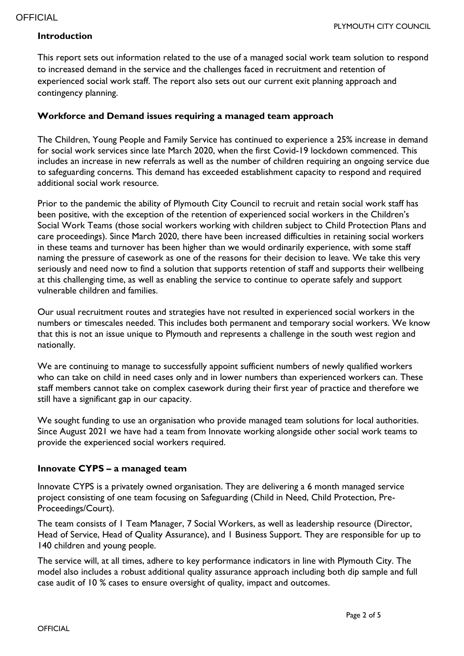### **Introduction**

This report sets out information related to the use of a managed social work team solution to respond to increased demand in the service and the challenges faced in recruitment and retention of experienced social work staff. The report also sets out our current exit planning approach and contingency planning.

#### **Workforce and Demand issues requiring a managed team approach**

The Children, Young People and Family Service has continued to experience a 25% increase in demand for social work services since late March 2020, when the first Covid-19 lockdown commenced. This includes an increase in new referrals as well as the number of children requiring an ongoing service due to safeguarding concerns. This demand has exceeded establishment capacity to respond and required additional social work resource.

Prior to the pandemic the ability of Plymouth City Council to recruit and retain social work staff has been positive, with the exception of the retention of experienced social workers in the Children's Social Work Teams (those social workers working with children subject to Child Protection Plans and care proceedings). Since March 2020, there have been increased difficulties in retaining social workers in these teams and turnover has been higher than we would ordinarily experience, with some staff naming the pressure of casework as one of the reasons for their decision to leave. We take this very seriously and need now to find a solution that supports retention of staff and supports their wellbeing at this challenging time, as well as enabling the service to continue to operate safely and support vulnerable children and families.

Our usual recruitment routes and strategies have not resulted in experienced social workers in the numbers or timescales needed. This includes both permanent and temporary social workers. We know that this is not an issue unique to Plymouth and represents a challenge in the south west region and nationally.

We are continuing to manage to successfully appoint sufficient numbers of newly qualified workers who can take on child in need cases only and in lower numbers than experienced workers can. These staff members cannot take on complex casework during their first year of practice and therefore we still have a significant gap in our capacity.

We sought funding to use an organisation who provide managed team solutions for local authorities. Since August 2021 we have had a team from Innovate working alongside other social work teams to provide the experienced social workers required.

#### **Innovate CYPS – a managed team**

Innovate CYPS is a privately owned organisation. They are delivering a 6 month managed service project consisting of one team focusing on Safeguarding (Child in Need, Child Protection, Pre-Proceedings/Court).

The team consists of 1 Team Manager, 7 Social Workers, as well as leadership resource (Director, Head of Service, Head of Quality Assurance), and 1 Business Support. They are responsible for up to 140 children and young people.

The service will, at all times, adhere to key performance indicators in line with Plymouth City. The model also includes a robust additional quality assurance approach including both dip sample and full case audit of 10 % cases to ensure oversight of quality, impact and outcomes.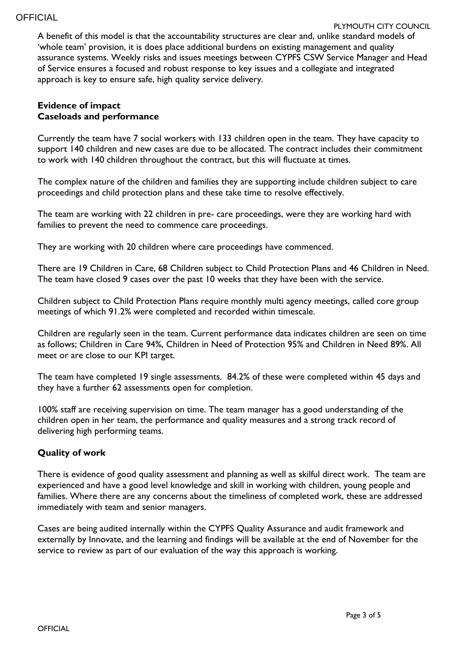A benefit of this model is that the accountability structures are clear and, unlike standard models of 'whole team' provision, it is does place additional burdens on existing management and quality assurance systems. Weekly risks and issues meetings between CYPFS CSW Service Manager and Head of Service ensures a focused and robust response to key issues and a collegiate and integrated approach is key to ensure safe, high quality service delivery.

#### **Evidence of impact Caseloads and performance**

Currently the team have 7 social workers with 133 children open in the team. They have capacity to support 140 children and new cases are due to be allocated. The contract includes their commitment to work with 140 children throughout the contract, but this will fluctuate at times.

The complex nature of the children and families they are supporting include children subject to care proceedings and child protection plans and these take time to resolve effectively.

The team are working with 22 children in pre- care proceedings, were they are working hard with families to prevent the need to commence care proceedings.

They are working with 20 children where care proceedings have commenced.

There are 19 Children in Care, 68 Children subject to Child Protection Plans and 46 Children in Need. The team have closed 9 cases over the past 10 weeks that they have been with the service.

Children subject to Child Protection Plans require monthly multi agency meetings, called core group meetings of which 91.2% were completed and recorded within timescale.

Children are regularly seen in the team. Current performance data indicates children are seen on time as follows; Children in Care 94%, Children in Need of Protection 95% and Children in Need 89%. All meet or are close to our KPI target.

The team have completed 19 single assessments. 84.2% of these were completed within 45 days and they have a further 62 assessments open for completion.

100% staff are receiving supervision on time. The team manager has a good understanding of the children open in her team, the performance and quality measures and a strong track record of delivering high performing teams.

# **Quality of work**

There is evidence of good quality assessment and planning as well as skilful direct work. The team are experienced and have a good level knowledge and skill in working with children, young people and families. Where there are any concerns about the timeliness of completed work, these are addressed immediately with team and senior managers.

Cases are being audited internally within the CYPFS Quality Assurance and audit framework and externally by Innovate, and the learning and findings will be available at the end of November for the service to review as part of our evaluation of the way this approach is working.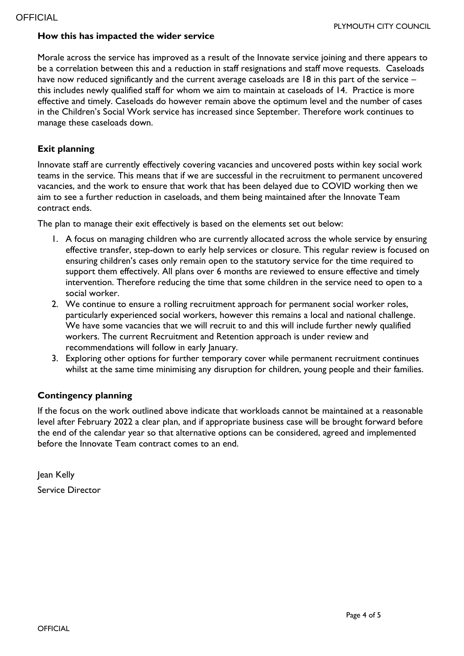#### **How this has impacted the wider service**

Morale across the service has improved as a result of the Innovate service joining and there appears to be a correlation between this and a reduction in staff resignations and staff move requests. Caseloads have now reduced significantly and the current average caseloads are 18 in this part of the service – this includes newly qualified staff for whom we aim to maintain at caseloads of 14. Practice is more effective and timely. Caseloads do however remain above the optimum level and the number of cases in the Children's Social Work service has increased since September. Therefore work continues to manage these caseloads down.

## **Exit planning**

Innovate staff are currently effectively covering vacancies and uncovered posts within key social work teams in the service. This means that if we are successful in the recruitment to permanent uncovered vacancies, and the work to ensure that work that has been delayed due to COVID working then we aim to see a further reduction in caseloads, and them being maintained after the Innovate Team contract ends.

The plan to manage their exit effectively is based on the elements set out below:

- 1. A focus on managing children who are currently allocated across the whole service by ensuring effective transfer, step-down to early help services or closure. This regular review is focused on ensuring children's cases only remain open to the statutory service for the time required to support them effectively. All plans over 6 months are reviewed to ensure effective and timely intervention. Therefore reducing the time that some children in the service need to open to a social worker.
- 2. We continue to ensure a rolling recruitment approach for permanent social worker roles, particularly experienced social workers, however this remains a local and national challenge. We have some vacancies that we will recruit to and this will include further newly qualified workers. The current Recruitment and Retention approach is under review and recommendations will follow in early January.
- 3. Exploring other options for further temporary cover while permanent recruitment continues whilst at the same time minimising any disruption for children, young people and their families.

#### **Contingency planning**

If the focus on the work outlined above indicate that workloads cannot be maintained at a reasonable level after February 2022 a clear plan, and if appropriate business case will be brought forward before the end of the calendar year so that alternative options can be considered, agreed and implemented before the Innovate Team contract comes to an end.

Jean Kelly Service Director